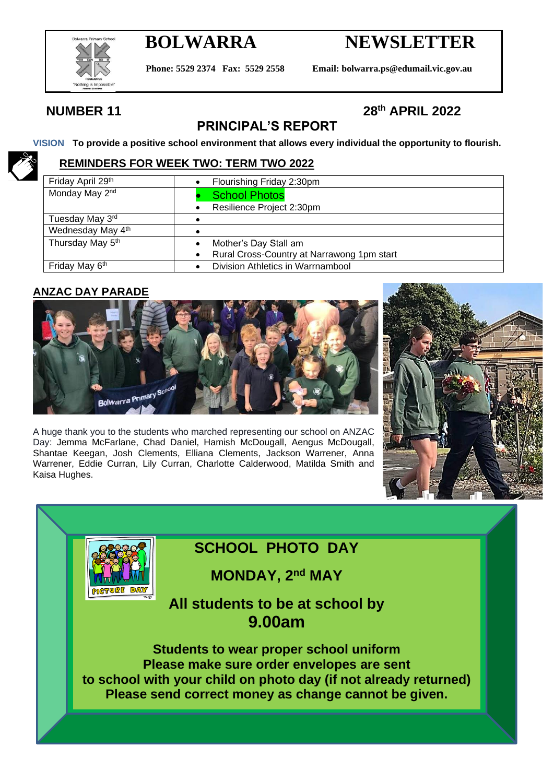

# **BOLWARRA NEWSLETTER**

**Phone: 5529 2374 Fax: 5529 2558 Email: bolwarra.ps@edumail.vic.gov.au**

## **NUMBER 11**

## **th APRIL 2022**

## **PRINCIPAL'S REPORT**

**VISION To provide a positive school environment that allows every individual the opportunity to flourish.**

## **REMINDERS FOR WEEK TWO: TERM TWO 2022**

| Friday April 29th          | Flourishing Friday 2:30pm                  |
|----------------------------|--------------------------------------------|
| Monday May 2 <sup>nd</sup> | <b>School Photos</b>                       |
|                            | Resilience Project 2:30pm                  |
| Tuesday May 3rd            |                                            |
| Wednesday May 4th          |                                            |
| Thursday May 5th           | Mother's Day Stall am                      |
|                            | Rural Cross-Country at Narrawong 1pm start |
| Friday May 6 <sup>th</sup> | Division Athletics in Warrnambool          |

## **ANZAC DAY PARADE**

**DIGGERICE** 



A huge thank you to the students who marched representing our school on ANZAC Day: Jemma McFarlane, Chad Daniel, Hamish McDougall, Aengus McDougall, Shantae Keegan, Josh Clements, Elliana Clements, Jackson Warrener, Anna Warrener, Eddie Curran, Lily Curran, Charlotte Calderwood, Matilda Smith and Kaisa Hughes.



## **SCHOOL PHOTO DAY**

**MONDAY, 2nd MAY**

## **All students to be at school by 9.00am**

**Students to wear proper school uniform Please make sure order envelopes are sent to school with your child on photo day (if not already returned) Please send correct money as change cannot be given.**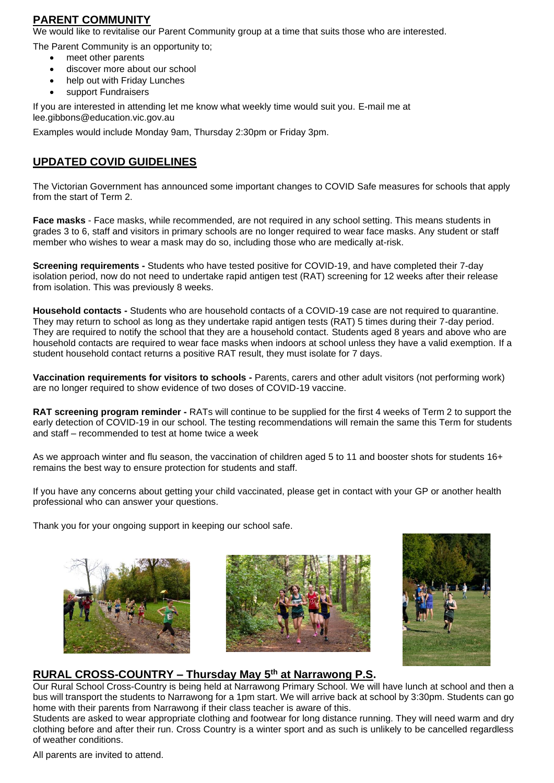#### **PARENT COMMUNITY**

We would like to revitalise our Parent Community group at a time that suits those who are interested.

The Parent Community is an opportunity to;

- meet other parents
- discover more about our school
- help out with Friday Lunches
- support Fundraisers

If you are interested in attending let me know what weekly time would suit you. E-mail me at lee.gibbons@education.vic.gov.au

Examples would include Monday 9am, Thursday 2:30pm or Friday 3pm.

#### **UPDATED COVID GUIDELINES**

The Victorian Government has announced some important changes to COVID Safe measures for schools that apply from the start of Term 2.

**Face masks** - Face masks, while recommended, are not required in any school setting. This means students in grades 3 to 6, staff and visitors in primary schools are no longer required to wear face masks. Any student or staff member who wishes to wear a mask may do so, including those who are medically at-risk.

**Screening requirements -** Students who have tested positive for COVID-19, and have completed their 7-day isolation period, now do not need to undertake rapid antigen test (RAT) screening for 12 weeks after their release from isolation. This was previously 8 weeks.

**Household contacts -** Students who are household contacts of a COVID-19 case are not required to quarantine. They may return to school as long as they undertake rapid antigen tests (RAT) 5 times during their 7-day period. They are required to notify the school that they are a household contact. Students aged 8 years and above who are household contacts are required to wear face masks when indoors at school unless they have a valid exemption. If a student household contact returns a positive RAT result, they must isolate for 7 days.

**Vaccination requirements for visitors to schools -** Parents, carers and other adult visitors (not performing work) are no longer required to show evidence of two doses of COVID-19 vaccine.

**RAT screening program reminder -** RATs will continue to be supplied for the first 4 weeks of Term 2 to support the early detection of COVID-19 in our school. The testing recommendations will remain the same this Term for students and staff – recommended to test at home twice a week

As we approach winter and flu season, the vaccination of children aged 5 to 11 and booster shots for students 16+ remains the best way to ensure protection for students and staff.

If you have any concerns about getting your child vaccinated, please get in contact with your GP or another health professional who can answer your questions.

Thank you for your ongoing support in keeping our school safe.







### **RURAL CROSS-COUNTRY – Thursday May 5 th at Narrawong P.S.**

Our Rural School Cross-Country is being held at Narrawong Primary School. We will have lunch at school and then a bus will transport the students to Narrawong for a 1pm start. We will arrive back at school by 3:30pm. Students can go home with their parents from Narrawong if their class teacher is aware of this.

Students are asked to wear appropriate clothing and footwear for long distance running. They will need warm and dry clothing before and after their run. Cross Country is a winter sport and as such is unlikely to be cancelled regardless of weather conditions.

All parents are invited to attend.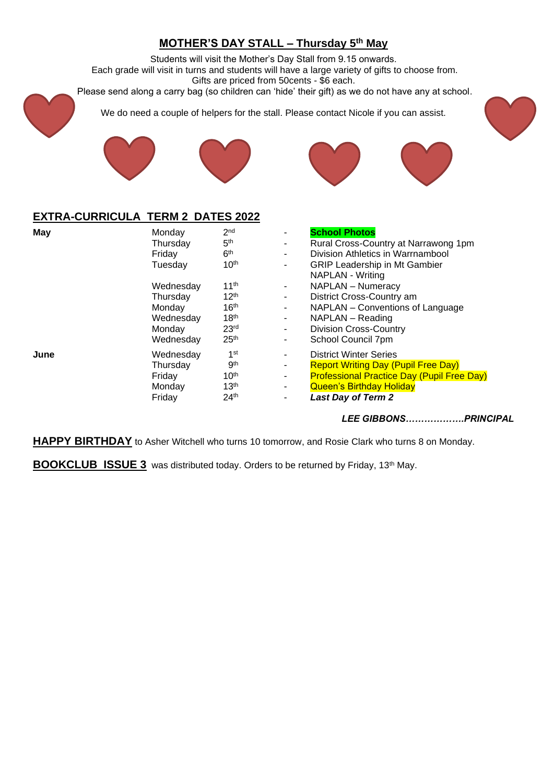## **MOTHER'S DAY STALL – Thursday 5 th May**

Students will visit the Mother's Day Stall from 9.15 onwards. Each grade will visit in turns and students will have a large variety of gifts to choose from. Gifts are priced from 50cents - \$6 each. Please send along a carry bag (so children can 'hide' their gift) as we do not have any at school.



We do need a couple of helpers for the stall. Please contact Nicole if you can assist.





#### **EXTRA-CURRICULA TERM 2 DATES 2022**

| May  | Monday    | 2 <sub>nd</sub>  |    | <b>School Photos</b>                              |
|------|-----------|------------------|----|---------------------------------------------------|
|      | Thursday  | 5 <sup>th</sup>  | ۰. | Rural Cross-Country at Narrawong 1pm              |
|      | Friday    | 6 <sup>th</sup>  | ۰. | Division Athletics in Warrnambool                 |
|      | Tuesday   | 10 <sup>th</sup> | ۰. | <b>GRIP Leadership in Mt Gambier</b>              |
|      |           |                  |    | <b>NAPLAN - Writing</b>                           |
|      | Wednesday | 11 <sup>th</sup> | ۰. | <b>NAPLAN - Numeracy</b>                          |
|      | Thursday  | 12 <sup>th</sup> | ۰. | District Cross-Country am                         |
|      | Monday    | 16 <sup>th</sup> | ۰. | NAPLAN – Conventions of Language                  |
|      | Wednesday | 18 <sup>th</sup> | ۰. | NAPLAN – Reading                                  |
|      | Monday    | 23 <sup>rd</sup> | ۰. | <b>Division Cross-Country</b>                     |
|      | Wednesday | 25 <sup>th</sup> |    | School Council 7pm                                |
| June | Wednesday | 1 <sup>st</sup>  |    | <b>District Winter Series</b>                     |
|      | Thursday  | gth              | ۰  | <b>Report Writing Day (Pupil Free Day)</b>        |
|      | Friday    | 10 <sup>th</sup> | ۰. | <b>Professional Practice Day (Pupil Free Day)</b> |
|      | Monday    | 13 <sup>th</sup> | ۰. | <b>Queen's Birthday Holiday</b>                   |
|      | Friday    | 24 <sup>th</sup> |    | <b>Last Day of Term 2</b>                         |
|      |           |                  |    |                                                   |

#### *LEE GIBBONS……………….PRINCIPAL*

**HAPPY BIRTHDAY** to Asher Witchell who turns 10 tomorrow, and Rosie Clark who turns 8 on Monday.

**BOOKCLUB ISSUE 3** was distributed today. Orders to be returned by Friday, 13<sup>th</sup> May.